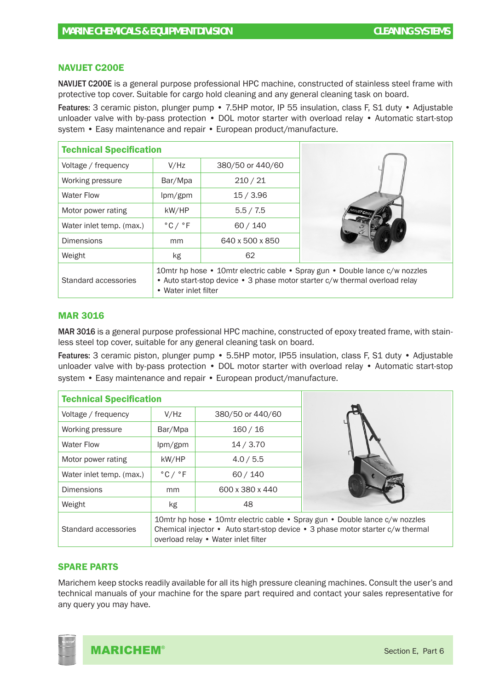## NAVIJET C200E

NAVIJET C200E is a general purpose professional HPC machine, constructed of stainless steel frame with protective top cover. Suitable for cargo hold cleaning and any general cleaning task on board.

Features: 3 ceramic piston, plunger pump • 7.5HP motor, IP 55 insulation, class F, S1 duty • Adjustable unloader valve with by-pass protection • DOL motor starter with overload relay • Automatic start-stop system • Easy maintenance and repair • European product/manufacture.

| <b>Technical Specification</b> |                                                                                                                                                                                    |                  |  |  |  |
|--------------------------------|------------------------------------------------------------------------------------------------------------------------------------------------------------------------------------|------------------|--|--|--|
| Voltage / frequency            | V/Hz                                                                                                                                                                               | 380/50 or 440/60 |  |  |  |
| Working pressure               | Bar/Mpa                                                                                                                                                                            | 210/21           |  |  |  |
| <b>Water Flow</b>              | lpm/gpm                                                                                                                                                                            | 15/3.96          |  |  |  |
| Motor power rating             | kW/HP                                                                                                                                                                              | 5.5 / 7.5        |  |  |  |
| Water inlet temp. (max.)       | $^{\circ}$ C / $^{\circ}$ F                                                                                                                                                        | 60/140           |  |  |  |
| Dimensions                     | mm                                                                                                                                                                                 | 640 x 500 x 850  |  |  |  |
| Weight                         | kg                                                                                                                                                                                 | 62               |  |  |  |
| Standard accessories           | 10mtr hp hose • 10mtr electric cable • Spray gun • Double lance c/w nozzles<br>• Auto start-stop device • 3 phase motor starter c/w thermal overload relay<br>• Water inlet filter |                  |  |  |  |

### MAR 3016

MAR 3016 is a general purpose professional HPC machine, constructed of epoxy treated frame, with stainless steel top cover, suitable for any general cleaning task on board.

Features: 3 ceramic piston, plunger pump • 5.5HP motor, IP55 insulation, class F, S1 duty • Adjustable unloader valve with by-pass protection • DOL motor starter with overload relay • Automatic start-stop system • Easy maintenance and repair • European product/manufacture.

| <b>Technical Specification</b> |                                                                                                                                                                                                      |                  |  |  |
|--------------------------------|------------------------------------------------------------------------------------------------------------------------------------------------------------------------------------------------------|------------------|--|--|
| Voltage / frequency            | V/Hz                                                                                                                                                                                                 | 380/50 or 440/60 |  |  |
| Working pressure               | Bar/Mpa                                                                                                                                                                                              | 160/16           |  |  |
| <b>Water Flow</b>              | $\text{lpm/gpm}$                                                                                                                                                                                     | 14/3.70          |  |  |
| Motor power rating             | kW/HP                                                                                                                                                                                                | 4.0 / 5.5        |  |  |
| Water inlet temp. (max.)       | $^{\circ}$ C / $^{\circ}$ F                                                                                                                                                                          | 60 / 140         |  |  |
| <b>Dimensions</b>              | <sub>mm</sub>                                                                                                                                                                                        | 600 x 380 x 440  |  |  |
| Weight                         | kg                                                                                                                                                                                                   | 48               |  |  |
| Standard accessories           | 10mtr hp hose • 10mtr electric cable • Spray gun • Double lance c/w nozzles<br>Chemical injector • Auto start-stop device • 3 phase motor starter c/w thermal<br>overload relay • Water inlet filter |                  |  |  |

## SPARE PARTS

Marichem keep stocks readily available for all its high pressure cleaning machines. Consult the user's and technical manuals of your machine for the spare part required and contact your sales representative for any query you may have.

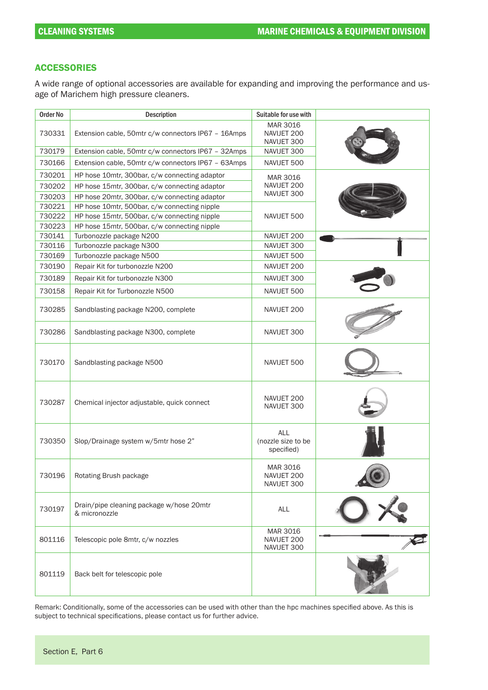# **ACCESSORIES**

A wide range of optional accessories are available for expanding and improving the performance and usage of Marichem high pressure cleaners.

| Order No | Description                                               | Suitable for use with                          |  |
|----------|-----------------------------------------------------------|------------------------------------------------|--|
| 730331   | Extension cable, 50mtr c/w connectors IP67 - 16Amps       | MAR 3016<br>NAVIJET 200<br>NAVIJET 300         |  |
| 730179   | Extension cable, 50mtr c/w connectors IP67 - 32Amps       | NAVIJET 300                                    |  |
| 730166   | Extension cable, 50mtr c/w connectors IP67 - 63Amps       | NAVIJET 500                                    |  |
| 730201   | HP hose 10mtr, 300bar, c/w connecting adaptor             | MAR 3016                                       |  |
| 730202   | HP hose 15mtr, 300bar, c/w connecting adaptor             | NAVIJET 200                                    |  |
| 730203   | HP hose 20mtr, 300bar, c/w connecting adaptor             | NAVIJET 300                                    |  |
| 730221   | HP hose 10mtr, 500bar, c/w connecting nipple              |                                                |  |
| 730222   | HP hose 15mtr, 500bar, c/w connecting nipple              | NAVIJET 500                                    |  |
| 730223   | HP hose 15mtr, 500bar, c/w connecting nipple              |                                                |  |
| 730141   | Turbonozzle package N200                                  | NAVIJET 200                                    |  |
| 730116   | Turbonozzle package N300                                  | NAVIJET 300                                    |  |
| 730169   | Turbonozzle package N500                                  | NAVIJET 500                                    |  |
| 730190   | Repair Kit for turbonozzle N200                           | NAVIJET 200                                    |  |
| 730189   | Repair Kit for turbonozzle N300                           | NAVIJET 300                                    |  |
| 730158   | Repair Kit for Turbonozzle N500                           | NAVIJET 500                                    |  |
| 730285   | Sandblasting package N200, complete                       | NAVIJET 200                                    |  |
| 730286   | Sandblasting package N300, complete                       | NAVIJET 300                                    |  |
| 730170   | Sandblasting package N500                                 | NAVIJET 500                                    |  |
| 730287   | Chemical injector adjustable, quick connect               | NAVIJET 200<br>NAVIJET 300                     |  |
| 730350   | Slop/Drainage system w/5mtr hose 2"                       | <b>ALL</b><br>(nozzle size to be<br>specified) |  |
| 730196   | Rotating Brush package                                    | MAR 3016<br>NAVIJET 200<br>NAVIJET 300         |  |
| 730197   | Drain/pipe cleaning package w/hose 20mtr<br>& micronozzle | <b>ALL</b>                                     |  |
| 801116   | Telescopic pole 8mtr, c/w nozzles                         | MAR 3016<br>NAVIJET 200<br>NAVIJET 300         |  |
| 801119   | Back belt for telescopic pole                             |                                                |  |

Remark: Conditionally, some of the accessories can be used with other than the hpc machines specified above. As this is subject to technical specifications, please contact us for further advice.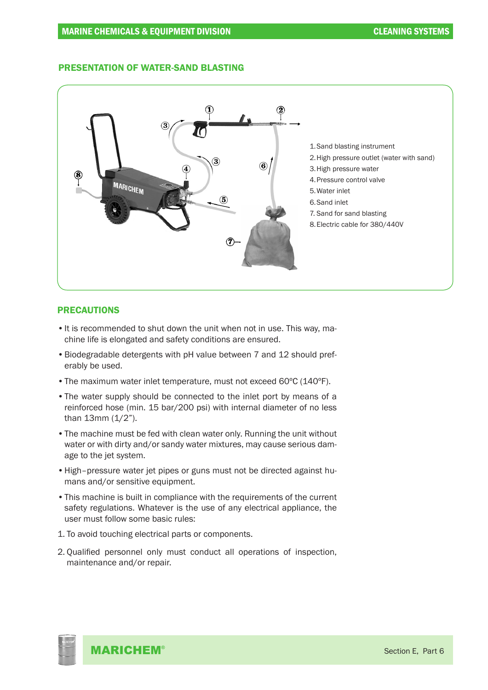### PRESENTATION OF WATER-SAND BLASTING



### PRECAUTIONS

- •It is recommended to shut down the unit when not in use. This way, machine life is elongated and safety conditions are ensured.
- •Biodegradable detergents with pH value between 7 and 12 should preferably be used.
- •The maximum water inlet temperature, must not exceed 60ºC (140ºF).
- •The water supply should be connected to the inlet port by means of a reinforced hose (min. 15 bar/200 psi) with internal diameter of no less than  $13$ mm  $(1/2)$ .
- •The machine must be fed with clean water only. Running the unit without water or with dirty and/or sandy water mixtures, may cause serious damage to the jet system.
- •High–pressure water jet pipes or guns must not be directed against humans and/or sensitive equipment.
- •This machine is built in compliance with the requirements of the current safety regulations. Whatever is the use of any electrical appliance, the user must follow some basic rules:
- 1. To avoid touching electrical parts or components.
- 2. Qualified personnel only must conduct all operations of inspection, maintenance and/or repair.